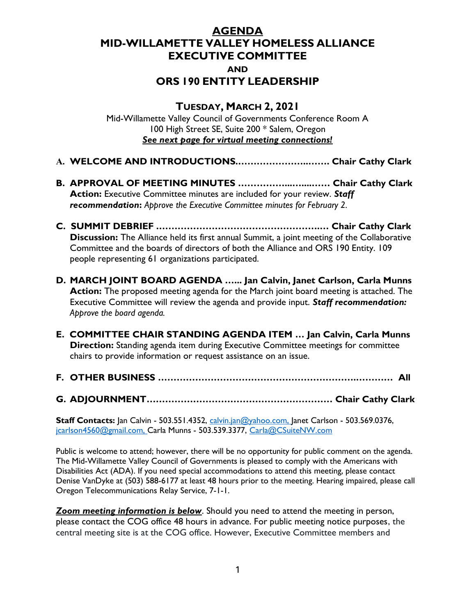## AGENDA MID-WILLAMETTE VALLEY HOMELESS ALLIANCE EXECUTIVE COMMITTEE AND ORS 190 ENTITY LEADERSHIP

## TUESDAY, MARCH 2, 2021

Mid-Willamette Valley Council of Governments Conference Room A 100 High Street SE, Suite 200 \* Salem, Oregon See next page for virtual meeting connections!

- A. WELCOME AND INTRODUCTIONS.…………………..……. Chair Cathy Clark
- B. APPROVAL OF MEETING MINUTES ……………...…....…… Chair Cathy Clark Action: Executive Committee minutes are included for your review. Staff recommendation: Approve the Executive Committee minutes for February 2.
- C. SUMMIT DEBRIEF .…………………………………………….… Chair Cathy Clark **Discussion:** The Alliance held its first annual Summit, a joint meeting of the Collaborative Committee and the boards of directors of both the Alliance and ORS 190 Entity. 109 people representing 61 organizations participated.
- D. MARCH JOINT BOARD AGENDA …... Jan Calvin, Janet Carlson, Carla Munns Action: The proposed meeting agenda for the March joint board meeting is attached. The Executive Committee will review the agenda and provide input. Staff recommendation: Approve the board agenda.
- E. COMMITTEE CHAIR STANDING AGENDA ITEM … Jan Calvin, Carla Munns **Direction:** Standing agenda item during Executive Committee meetings for committee chairs to provide information or request assistance on an issue.
- F. OTHER BUSINESS ……………………………………………………….………… All
- G. ADJOURNMENT…………………………………………………… Chair Cathy Clark

Staff Contacts: Jan Calvin - 503.551.4352, calvin.jan@yahoo.com, Janet Carlson - 503.569.0376, jcarlson4560@gmail.com, Carla Munns - 503.539.3377, Carla@CSuiteNW.com

Public is welcome to attend; however, there will be no opportunity for public comment on the agenda. The Mid-Willamette Valley Council of Governments is pleased to comply with the Americans with Disabilities Act (ADA). If you need special accommodations to attend this meeting, please contact Denise VanDyke at (503) 588-6177 at least 48 hours prior to the meeting. Hearing impaired, please call Oregon Telecommunications Relay Service, 7-1-1.

**Zoom meeting information is below**. Should you need to attend the meeting in person, please contact the COG office 48 hours in advance. For public meeting notice purposes, the central meeting site is at the COG office. However, Executive Committee members and